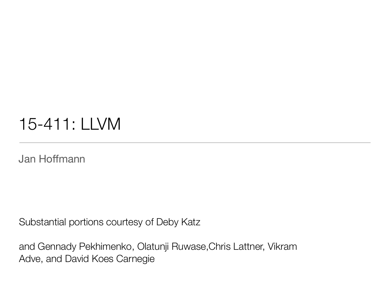### 15-411: LLVM

Jan Hoffmann

Substantial portions courtesy of Deby Katz

and Gennady Pekhimenko, Olatunji Ruwase,Chris Lattner, Vikram Adve, and David Koes Carnegie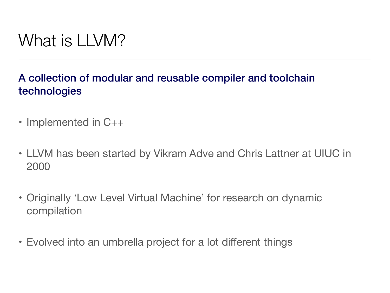### What is LLVM?

#### A collection of modular and reusable compiler and toolchain technologies

- Implemented in C++
- LLVM has been started by Vikram Adve and Chris Lattner at UIUC in 2000
- Originally 'Low Level Virtual Machine' for research on dynamic compilation
- Evolved into an umbrella project for a lot different things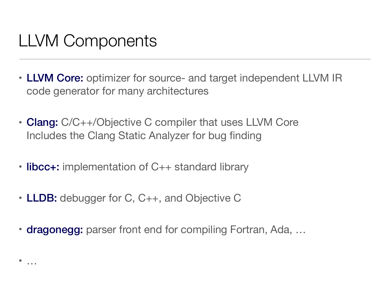# LLVM Components

- LLVM Core: optimizer for source- and target independent LLVM IR code generator for many architectures
- Clang: C/C++/Objective C compiler that uses LLVM Core Includes the Clang Static Analyzer for bug finding
- libcc+: implementation of C++ standard library
- LLDB: debugger for C, C++, and Objective C
- dragonegg: parser front end for compiling Fortran, Ada, ...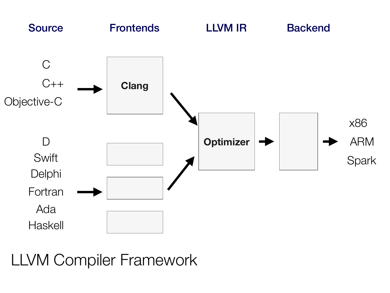

LLVM Compiler Framework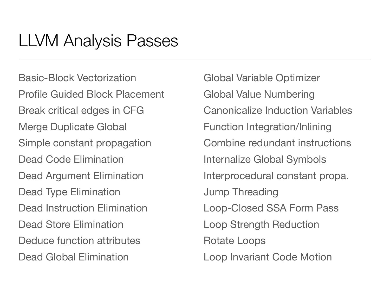# LLVM Analysis Passes

Basic-Block Vectorization Profile Guided Block Placement Break critical edges in CFG Merge Duplicate Global Simple constant propagation Dead Code Elimination Dead Argument Elimination Dead Type Elimination Dead Instruction Elimination Dead Store Elimination Deduce function attributes Dead Global Elimination

Global Variable Optimizer Global Value Numbering Canonicalize Induction Variables Function Integration/Inlining Combine redundant instructions Internalize Global Symbols Interprocedural constant propa. Jump Threading Loop-Closed SSA Form Pass Loop Strength Reduction Rotate Loops Loop Invariant Code Motion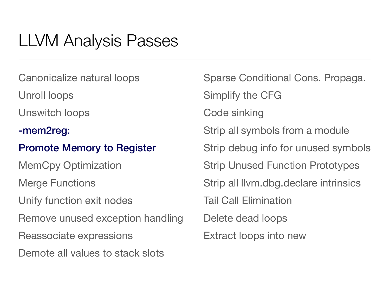# LLVM Analysis Passes

Canonicalize natural loops

Unroll loops

Unswitch loops

-mem2reg:

#### Promote Memory to Register

MemCpy Optimization Merge Functions Unify function exit nodes Remove unused exception handling Reassociate expressions Demote all values to stack slots

Sparse Conditional Cons. Propaga. Simplify the CFG Code sinking Strip all symbols from a module Strip debug info for unused symbols Strip Unused Function Prototypes Strip all llvm.dbg.declare intrinsics Tail Call Elimination Delete dead loops Extract loops into new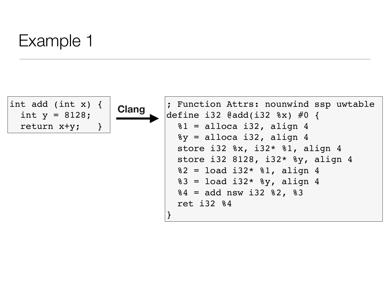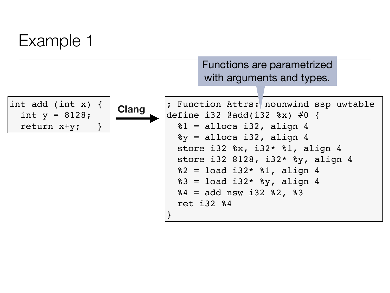Functions are parametrized with arguments and types.



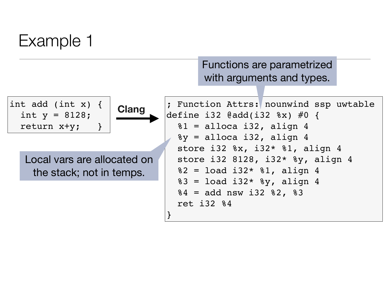Functions are parametrized with arguments and types.



Local vars are allocated on the stack; not in temps.

**Clang** : Function Attrs: nounwind ssp uwtable define i32 @add(i32 %x) #0 {  $81 =$  alloca i32, align 4  $\gamma$  = alloca i32, align 4 store i32 %x, i32\* %1, align 4 store i32 8128, i32\* %y, align 4  $82 =$  load i32\*  $81$ , align 4  $83 =$  load i32\*  $8y$ , align 4  $84 =$  add nsw i32  $82,$   $83$  ret i32 %4 }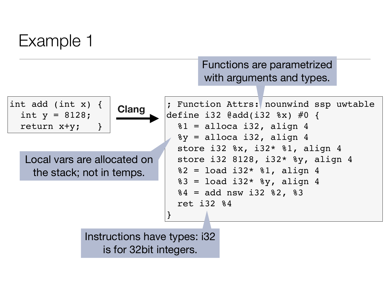Functions are parametrized with arguments and types.



Instructions have types: i32 is for 32bit integers.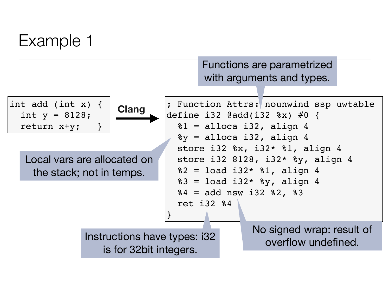Functions are parametrized with arguments and types.

![](_page_11_Figure_2.jpeg)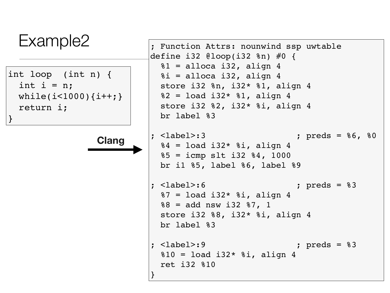| Example2                                 | ; Function Attrs: nounwind ssp uwtable<br>define i32 @loop(i32 $\text{\%}$ n) #0 {                                                                         |
|------------------------------------------|------------------------------------------------------------------------------------------------------------------------------------------------------------|
| int loop (int n) $\{$<br>int $i = n$ ;   | $81 =$ alloca i32, align 4<br>$\hat{z}$ i = alloca i32, align 4<br>store i32 $n, i32 * 1, a$ lign 4                                                        |
| while( $i$ <1000){ $i$ ++;}<br>return i; | $82 =$ load i32* $81$ , align 4<br>store i32 $82$ , i32* $8i$ , align 4<br>br label %3                                                                     |
| <b>Clang</b>                             | $:$ $<$ label>:3<br>; $preds = 86, 80$<br>$84 =$ load i32* $8i$ , align 4<br>$85 = i$ cmp slt i32 $84, 1000$<br>br il $85$ , label $86$ , label $89$       |
|                                          | $:$ $<$ label>:6<br>; $preds = 83$<br>$87 =$ load i32* $8i$ , align 4<br>$88 =$ add nsw i32 $87, 1$<br>store i32 $88$ , i32* $8i$ , align 4<br>br label %3 |
|                                          | $:$ $<$ label>:9<br>; $preds = 83$<br>$810 =$ load i32* $8i$ , align 4<br>ret i32 %10                                                                      |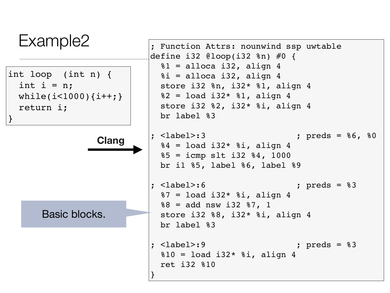![](_page_13_Figure_0.jpeg)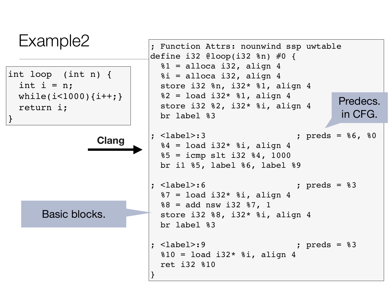![](_page_14_Figure_0.jpeg)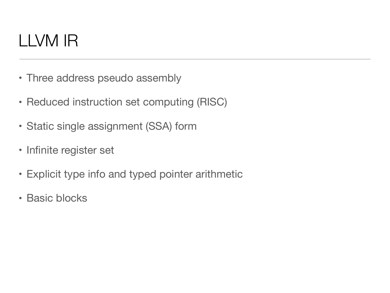- Three address pseudo assembly
- Reduced instruction set computing (RISC)
- Static single assignment (SSA) form
- Infinite register set
- Explicit type info and typed pointer arithmetic
- Basic blocks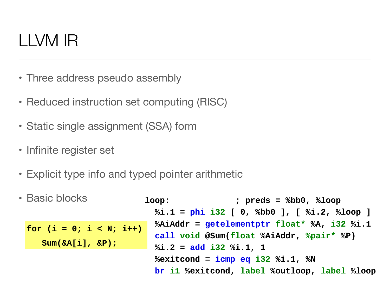- LLVM Instruction Set Overview • Three address pseudo assembly
- Reduced instruction set computing (RISC)
- $\overline{\phantom{a}}$  $\overline{\text{I}}$ - Infinite virtual region  $\overline{\text{I}}$ • Static single assignment (SSA) form
- $\sim$  Sightly-set - Loading instructions with the store instructions with the store in the store in the store in the store in the store in the store in the store in the store in the store in the store in the store in the store in the store • Infinite register set
- Explicit type info and typed pointer arithmetic
- **loop: ; preds = %bb0, %loop %i.1 = phi i32 [ 0, %bb0 ], [ %i.2, %loop ] %AiAddr = getelementptr float\* %A, i32 %i.1 call void @Sum(float %AiAddr, %pair\* %P) %i.2 = add i32 %i.1, 1 %exitcond = icmp eq i32 %i.1, %N br i1 %exitcond, label %outloop, label %loop for (i = 0; i < N; i++) Sum(&A[i], &P);** • Basic blocks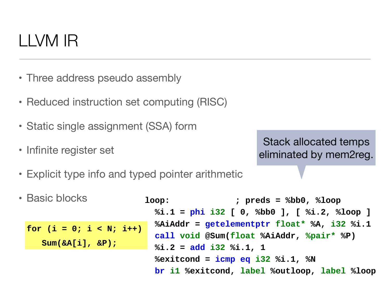- LLVM Instruction Set Overview • Three address pseudo assembly
- Reduced instruction set computing (RISC)
- $\overline{\phantom{a}}$  $\overline{\text{I}}$ - Infinite virtual region  $\overline{\text{I}}$ • Static single assignment (SSA) form
- $\sim$  Simple, low-level constructs constructs  $\sim$  $\epsilon$  equations with typed-pointers with the contract  $\epsilon$ • Infinite register set

Stack allocated temps eliminated by mem2reg.

- Explicit type info and typed pointer arithmetic
- **for (i = 0; i < N; i++) Sum(&A[i], &P);** • Basic blocks

```
loop: ; preds = %bb0, %loop 
  %i.1 = phi i32 [ 0, %bb0 ], [ %i.2, %loop ]
  %AiAddr = getelementptr float* %A, i32 %i.1
  call void @Sum(float %AiAddr, %pair* %P)
  %i.2 = add i32 %i.1, 1
  %exitcond = icmp eq i32 %i.1, %N
  br i1 %exitcond, label %outloop, label %loop
```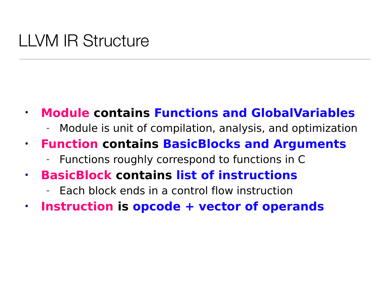### LLVM IR Structure

- **Module contains Functions and GlobalVariables**
	- Module is unit of compilation, analysis, and optimization
- **Function contains BasicBlocks and Arguments**
	- Functions roughly correspond to functions in C
- **BasicBlock contains list of instructions**
	- Each block ends in a control flow instruction
- **Instruction is opcode + vector of operands**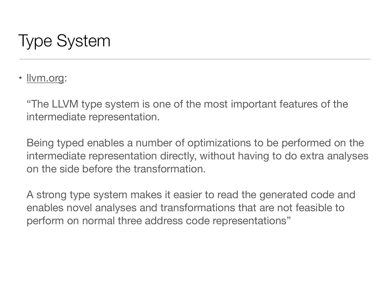# Type System

• <u>Ilvm.org</u>:

"The LLVM type system is one of the most important features of the intermediate representation.

Being typed enables a number of optimizations to be performed on the intermediate representation directly, without having to do extra analyses on the side before the transformation.

A strong type system makes it easier to read the generated code and enables novel analyses and transformations that are not feasible to perform on normal three address code representations"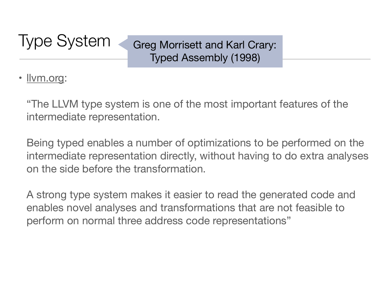### Type System

Greg Morrisett and Karl Crary: Typed Assembly (1998)

#### • <u>Ilvm.org</u>:

"The LLVM type system is one of the most important features of the intermediate representation.

Being typed enables a number of optimizations to be performed on the intermediate representation directly, without having to do extra analyses on the side before the transformation.

A strong type system makes it easier to read the generated code and enables novel analyses and transformations that are not feasible to perform on normal three address code representations"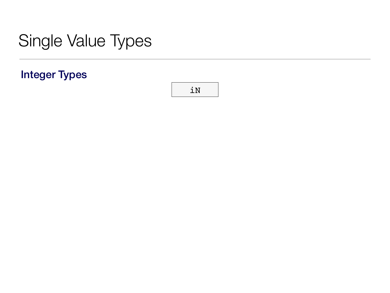#### Integer Types

![](_page_21_Picture_2.jpeg)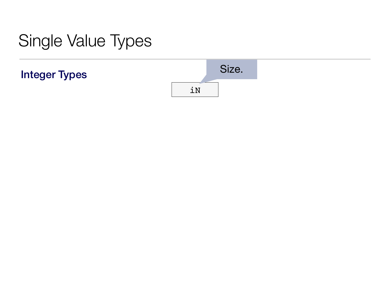![](_page_22_Figure_2.jpeg)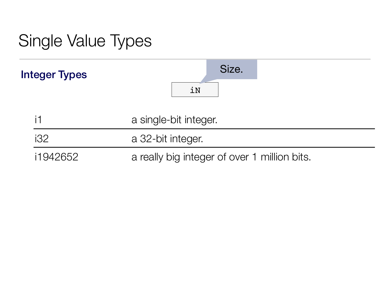![](_page_23_Figure_1.jpeg)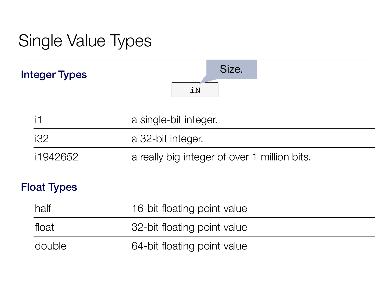![](_page_24_Figure_1.jpeg)

| half   | 16-bit floating point value |
|--------|-----------------------------|
| float  | 32-bit floating point value |
| double | 64-bit floating point value |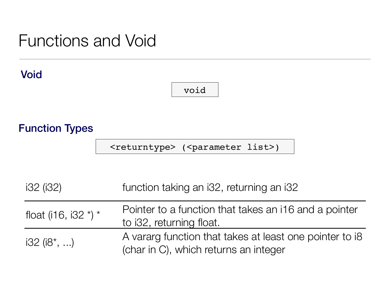### Functions and Void

#### Void

#### void

#### Function Types

<returntype> (<parameter list>)

| i32 (i32)                 | function taking an i32, returning an i32                                                         |
|---------------------------|--------------------------------------------------------------------------------------------------|
| float (i16, i32 $*$ ) $*$ | Pointer to a function that takes an i16 and a pointer<br>to i32, returning float.                |
| $i32$ ( $i8^*$ , )        | A vararg function that takes at least one pointer to i8<br>(char in C), which returns an integer |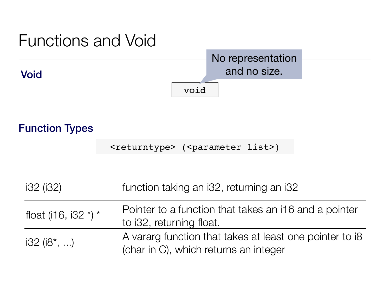![](_page_26_Figure_0.jpeg)

#### Function Types

<returntype> (<parameter list>)

| i32 (i32)                 | function taking an i32, returning an i32                                                         |
|---------------------------|--------------------------------------------------------------------------------------------------|
| float (i16, i32 $*$ ) $*$ | Pointer to a function that takes an i16 and a pointer<br>to i32, returning float.                |
| $i32$ ( $i8^*$ , )        | A vararg function that takes at least one pointer to i8<br>(char in C), which returns an integer |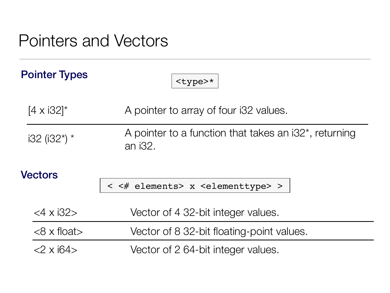### Pointers and Vectors

| <b>Pointer Types</b>  | <type>*</type>                                                       |  |  |
|-----------------------|----------------------------------------------------------------------|--|--|
| $[4 \times 32]^{*}$   | A pointer to array of four i32 values.                               |  |  |
| $i32$ ( $i32^*$ ) *   | A pointer to a function that takes an $i32^*$ , returning<br>an i32. |  |  |
| <b>Vectors</b>        | < <# elements> x <elementtype> &gt;</elementtype>                    |  |  |
| $<$ 4 x i32>          | Vector of 4 32-bit integer values.                                   |  |  |
| $<8 \times$ float $>$ | Vector of 8 32-bit floating-point values.                            |  |  |
| $2 \times 164$        | Vector of 2 64-bit integer values.                                   |  |  |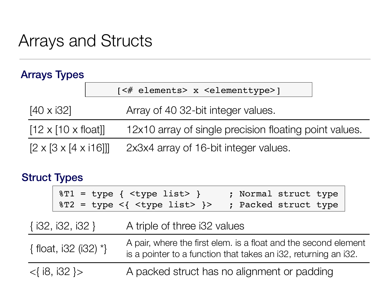### Arrays and Structs

#### Arrays Types

|                                        | [<# elements> x <elementtype>]</elementtype>           |
|----------------------------------------|--------------------------------------------------------|
| $[40 \times 32]$                       | Array of 40 32-bit integer values.                     |
| $[12 \times [10 \times \text{float}]]$ | 12x10 array of single precision floating point values. |
| $[2 \times [3 \times [4 \times 116]]]$ | 2x3x4 array of 16-bit integer values.                  |

#### Struct Types

|                          | $8T1 = type {  }$<br>$8T2 = type < {  } >$ | ; Normal struct type<br>; Packed struct type                                                                                       |
|--------------------------|--------------------------------------------|------------------------------------------------------------------------------------------------------------------------------------|
| $\{132, 132, 132\}$      | A triple of three i32 values               |                                                                                                                                    |
| { float, i32 (i32) $*$ } |                                            | A pair, where the first elem. is a float and the second element<br>is a pointer to a function that takes an i32, returning an i32. |
| $<$ { i8, i32 } >        |                                            | A packed struct has no alignment or padding                                                                                        |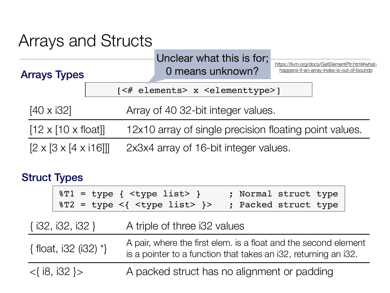### Arrays and Structs

| Unclear what this is for; |  |
|---------------------------|--|
| 0 means unknown?          |  |

[https://llvm.org/docs/GetElementPtr.html#what](https://llvm.org/docs/GetElementPtr.html#what-happens-if-an-array-index-is-out-of-bounds)happens-if-an-array-index-is-out-of-bounds

[<# elements> x <elementtype>]

[40 x i32] Array of 40 32-bit integer values.

[12 x [10 x float]] 12x10 array of single precision floating point values.

 $[2 \times [3 \times [4 \times 116]]]$  2x3x4 array of 16-bit integer values.

#### Struct Types

Arrays Types

| $8T1 = type {  }$            |  | ; Normal struct type |  |
|------------------------------|--|----------------------|--|
| $8T2 = type < { type 1ist>}$ |  | ; Packed struct type |  |

 $\{\text{float, i32 (i32) *}\}\$  A pair, where the first elem. is a float and the second element is a pointer to a function that takes an i32, returning an i32.

<{ i8, i32 }> A packed struct has no alignment or padding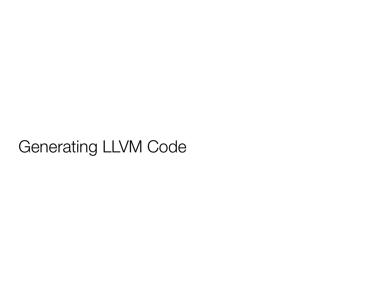### Generating LLVM Code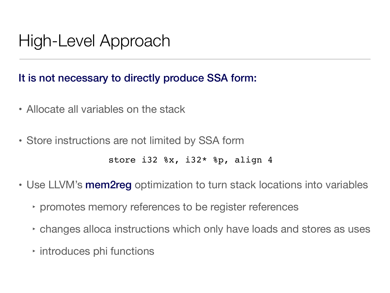# High-Level Approach

#### It is not necessary to directly produce SSA form:

- Allocate all variables on the stack
- Store instructions are not limited by SSA form

```
store i32 %x, i32* %p, align 4
```
- Use LLVM's mem2reg optimization to turn stack locations into variables
	- ‣ promotes memory references to be register references
	- ‣ changes alloca instructions which only have loads and stores as uses
	- ‣ introduces phi functions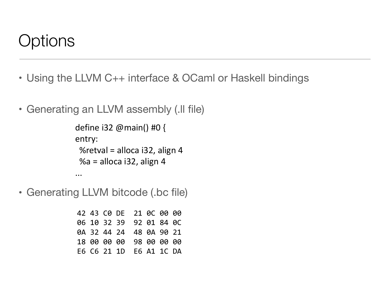#### Options **LLVM IR** In-Memory Data Structure

- Using the LLVM C++ interface & OCaml or Haskell bindings
- · Generating an LLVM assembly (.Il file) **LLVM IR**

```
\overline{\mathbf{a}}define i32 @main() #0 {
entry:
%retval = alloca i32, align 4
 %a = alloca i32, align 4
```
• Generating LLVM bitcode (.bc file)

...

42 43 C0 DE 21 0C 00 00 06 10 32 39 92 01 84 0C 0A 32 44 24 48 0A 90 21 18 00 00 00 98 00 00 00 E6 C6 21 1D E6 A1 1C DA **Carnegie Mellon** We can pause optimization and come back later. And come back later  $42\,$  A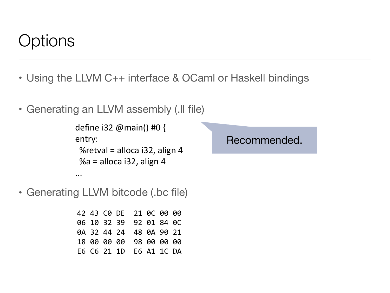#### Options **LLVM IR** In-Memory Data Structure

- Using the LLVM C++ interface & OCaml or Haskell bindings
- · Generating an LLVM assembly (.Il file) **LLVM IR**

define i32 @main() #0 { entry: %retval = alloca i32, align 4  $%a =$  alloca i32, align 4

• Generating LLVM bitcode (.bc file)

...

42 43 C0 DE 21 0C 00 00 06 10 32 39 92 01 84 0C 0A 32 44 24 48 0A 90 21 18 00 00 00 98 00 00 00 E6 C6 21 1D E6 A1 1C DA **Carnegie Mellon** We can pause optimization and come back later. And come back later  $42\,$  A

Recommended.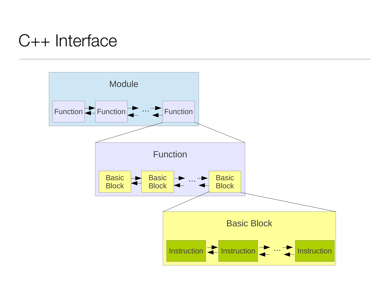# C++ Interface

![](_page_34_Figure_1.jpeg)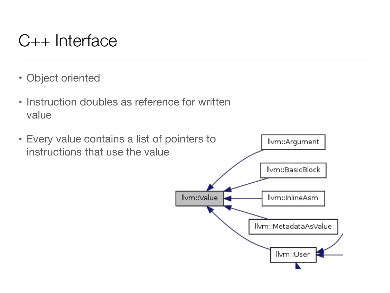#### C++ Interface **Doing Things The LLVM Way – Casting and Type Introspection**

- Object oriented
	- Instruction doubles as reference for written value

![](_page_35_Figure_3.jpeg)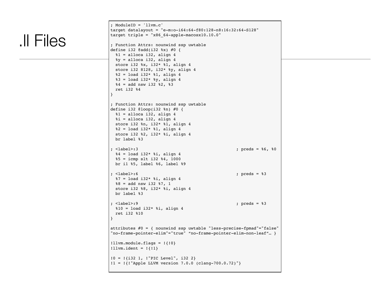```
.ll Files
```

```
; ModuleID = 'llvm.c'
target datalayout = "e-m:o-i64:64-f80:128-n8:16:32:64-S128"
target triple = "x86_64-apple-macosx10.10.0"
; Function Attrs: nounwind ssp uwtable
define i32 \elladd(i32 \ell x) #0 {
 \$1 = alloca i32, align 4
 \gamma = alloca i32, align 4
  store i32 %x, i32* %1, align 4
  store i32 8128, i32* %y, align 4
 82 = load i32* 81, align 4
 83 = load i32* 8y, align 4
 84 = add nsw i32 82, 83 ret i32 %4
}
; Function Attrs: nounwind ssp uwtable
define i32 @loop(i32 %n) #0 {
 81 = alloca i32, align 4
 xi = alloca i32, align 4
  store i32 %n, i32* %1, align 4
 82 = load i32* 81, align 4
  store i32 %2, i32* %i, align 4
  br label %3
; <label>:3 ; preds = %6, %0
 %4 = load i32* %i, align 4
  %5 = icmp slt i32 %4, 1000
  br i1 %5, label %6, label %9
; <label>:6 ; preds = %3
 87 = load i32* 8i, align 4
 88 = add nsw i32 87, 1 store i32 %8, i32* %i, align 4
  br label %3
; <label>:9 ; preds = %3
 \$10 = load i32* \$i, align 4
  ret i32 %10
}
attributes #0 = { nounwind ssp uwtable "less-precise-fpmad"="false"
"no-frame-pointer-elim"="true" "no-frame-pointer-elim-non-leaf"… }
!llvm.module.flags = !{!0}
!llvm.ident = ! \{ 11 \}!0 = !{i32 1, !"PIC Level", i32 2}
!1 = !{!"Apple LLVM version 7.0.0 (clang-700.0.72)"}
```